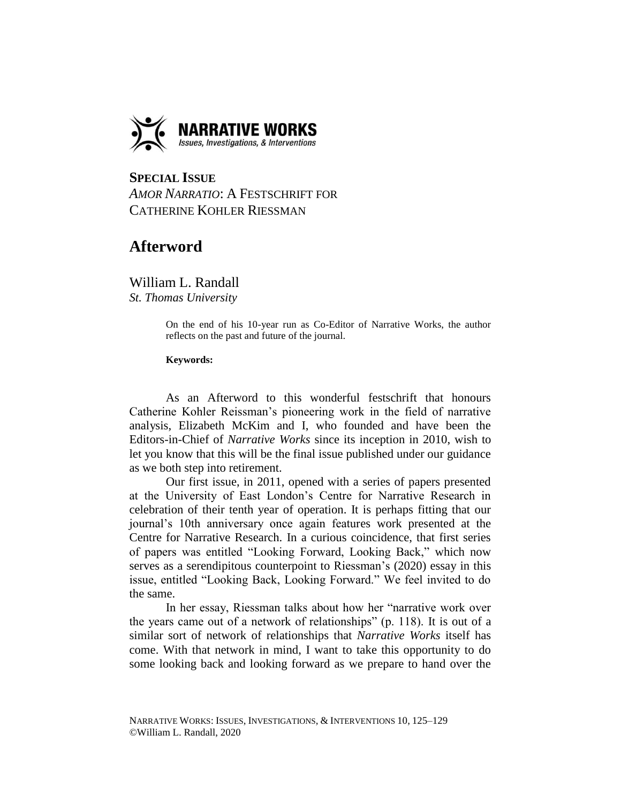

## **SPECIAL ISSUE**  *AMOR NARRATIO*: A FESTSCHRIFT FOR CATHERINE KOHLER RIESSMAN

## **Afterword**

William L. Randall *St. Thomas University*

> On the end of his 10-year run as Co-Editor of Narrative Works, the author reflects on the past and future of the journal.

## **Keywords:**

As an Afterword to this wonderful festschrift that honours Catherine Kohler Reissman's pioneering work in the field of narrative analysis, Elizabeth McKim and I, who founded and have been the Editors-in-Chief of *Narrative Works* since its inception in 2010, wish to let you know that this will be the final issue published under our guidance as we both step into retirement.

Our first issue, in 2011, opened with a series of papers presented at the University of East London's Centre for Narrative Research in celebration of their tenth year of operation. It is perhaps fitting that our journal's 10th anniversary once again features work presented at the Centre for Narrative Research. In a curious coincidence, that first series of papers was entitled "Looking Forward, Looking Back," which now serves as a serendipitous counterpoint to Riessman's (2020) essay in this issue, entitled "Looking Back, Looking Forward." We feel invited to do the same.

In her essay, Riessman talks about how her "narrative work over the years came out of a network of relationships" (p. 118). It is out of a similar sort of network of relationships that *Narrative Works* itself has come. With that network in mind, I want to take this opportunity to do some looking back and looking forward as we prepare to hand over the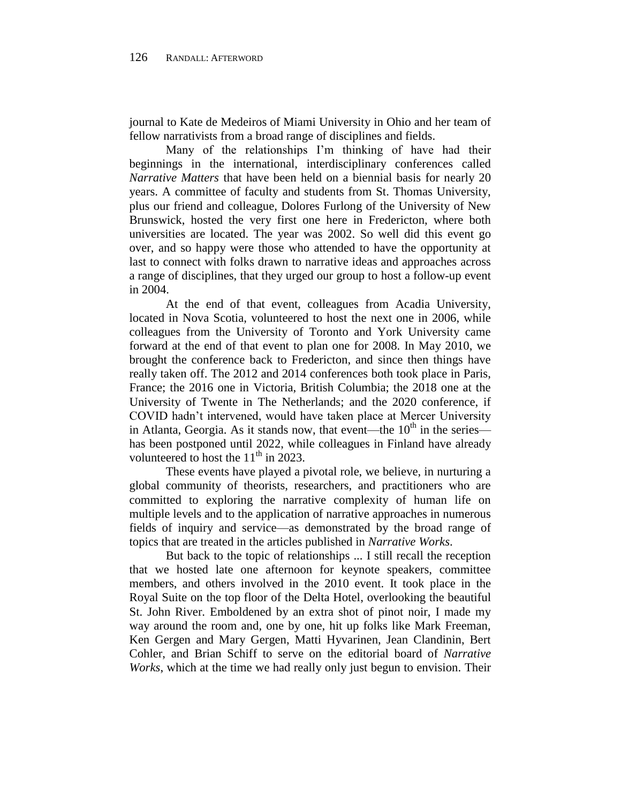journal to Kate de Medeiros of Miami University in Ohio and her team of fellow narrativists from a broad range of disciplines and fields.

Many of the relationships I'm thinking of have had their beginnings in the international, interdisciplinary conferences called *Narrative Matters* that have been held on a biennial basis for nearly 20 years. A committee of faculty and students from St. Thomas University, plus our friend and colleague, Dolores Furlong of the University of New Brunswick, hosted the very first one here in Fredericton, where both universities are located. The year was 2002. So well did this event go over, and so happy were those who attended to have the opportunity at last to connect with folks drawn to narrative ideas and approaches across a range of disciplines, that they urged our group to host a follow-up event in 2004.

At the end of that event, colleagues from Acadia University, located in Nova Scotia, volunteered to host the next one in 2006, while colleagues from the University of Toronto and York University came forward at the end of that event to plan one for 2008. In May 2010, we brought the conference back to Fredericton, and since then things have really taken off. The 2012 and 2014 conferences both took place in Paris, France; the 2016 one in Victoria, British Columbia; the 2018 one at the University of Twente in The Netherlands; and the 2020 conference, if COVID hadn't intervened, would have taken place at Mercer University in Atlanta, Georgia. As it stands now, that event—the  $10<sup>th</sup>$  in the series has been postponed until 2022, while colleagues in Finland have already volunteered to host the  $11<sup>th</sup>$  in 2023.

These events have played a pivotal role, we believe, in nurturing a global community of theorists, researchers, and practitioners who are committed to exploring the narrative complexity of human life on multiple levels and to the application of narrative approaches in numerous fields of inquiry and service—as demonstrated by the broad range of topics that are treated in the articles published in *Narrative Works*.

But back to the topic of relationships ... I still recall the reception that we hosted late one afternoon for keynote speakers, committee members, and others involved in the 2010 event. It took place in the Royal Suite on the top floor of the Delta Hotel, overlooking the beautiful St. John River. Emboldened by an extra shot of pinot noir, I made my way around the room and, one by one, hit up folks like Mark Freeman, Ken Gergen and Mary Gergen, Matti Hyvarinen, Jean Clandinin, Bert Cohler, and Brian Schiff to serve on the editorial board of *Narrative Works*, which at the time we had really only just begun to envision. Their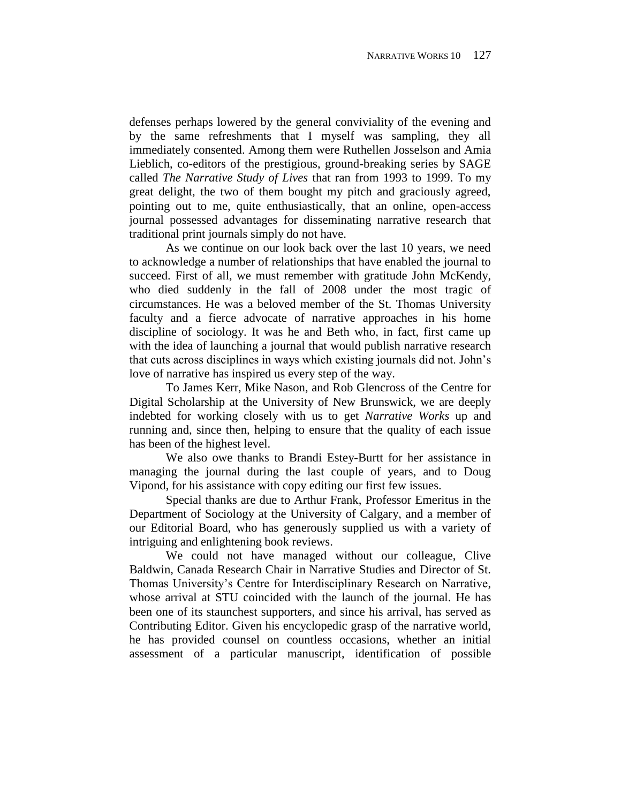defenses perhaps lowered by the general conviviality of the evening and by the same refreshments that I myself was sampling, they all immediately consented. Among them were Ruthellen Josselson and Amia Lieblich, co-editors of the prestigious, ground-breaking series by SAGE called *The Narrative Study of Lives* that ran from 1993 to 1999. To my great delight, the two of them bought my pitch and graciously agreed, pointing out to me, quite enthusiastically, that an online, open-access journal possessed advantages for disseminating narrative research that traditional print journals simply do not have.

As we continue on our look back over the last 10 years, we need to acknowledge a number of relationships that have enabled the journal to succeed. First of all, we must remember with gratitude John McKendy, who died suddenly in the fall of 2008 under the most tragic of circumstances. He was a beloved member of the St. Thomas University faculty and a fierce advocate of narrative approaches in his home discipline of sociology. It was he and Beth who, in fact, first came up with the idea of launching a journal that would publish narrative research that cuts across disciplines in ways which existing journals did not. John's love of narrative has inspired us every step of the way.

To James Kerr, Mike Nason, and Rob Glencross of the Centre for Digital Scholarship at the University of New Brunswick, we are deeply indebted for working closely with us to get *Narrative Works* up and running and, since then, helping to ensure that the quality of each issue has been of the highest level.

We also owe thanks to Brandi Estey-Burtt for her assistance in managing the journal during the last couple of years, and to Doug Vipond, for his assistance with copy editing our first few issues.

Special thanks are due to Arthur Frank, Professor Emeritus in the Department of Sociology at the University of Calgary, and a member of our Editorial Board, who has generously supplied us with a variety of intriguing and enlightening book reviews.

We could not have managed without our colleague, Clive Baldwin, Canada Research Chair in Narrative Studies and Director of St. Thomas University's Centre for Interdisciplinary Research on Narrative, whose arrival at STU coincided with the launch of the journal. He has been one of its staunchest supporters, and since his arrival, has served as Contributing Editor. Given his encyclopedic grasp of the narrative world, he has provided counsel on countless occasions, whether an initial assessment of a particular manuscript, identification of possible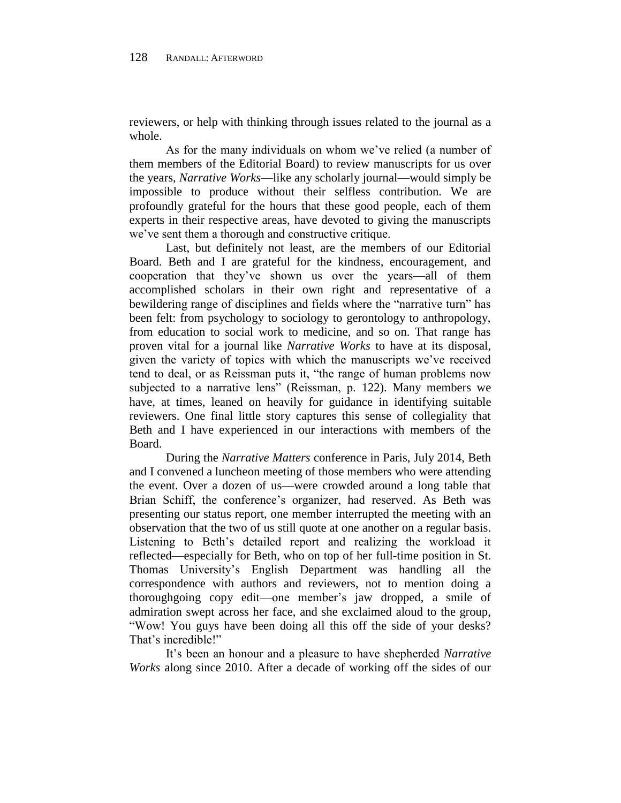reviewers, or help with thinking through issues related to the journal as a whole.

As for the many individuals on whom we've relied (a number of them members of the Editorial Board) to review manuscripts for us over the years, *Narrative Works*—like any scholarly journal—would simply be impossible to produce without their selfless contribution. We are profoundly grateful for the hours that these good people, each of them experts in their respective areas, have devoted to giving the manuscripts we've sent them a thorough and constructive critique.

Last, but definitely not least, are the members of our Editorial Board. Beth and I are grateful for the kindness, encouragement, and cooperation that they've shown us over the years—all of them accomplished scholars in their own right and representative of a bewildering range of disciplines and fields where the "narrative turn" has been felt: from psychology to sociology to gerontology to anthropology, from education to social work to medicine, and so on. That range has proven vital for a journal like *Narrative Works* to have at its disposal, given the variety of topics with which the manuscripts we've received tend to deal, or as Reissman puts it, "the range of human problems now subjected to a narrative lens" (Reissman, p. 122). Many members we have, at times, leaned on heavily for guidance in identifying suitable reviewers. One final little story captures this sense of collegiality that Beth and I have experienced in our interactions with members of the Board.

During the *Narrative Matters* conference in Paris, July 2014, Beth and I convened a luncheon meeting of those members who were attending the event. Over a dozen of us—were crowded around a long table that Brian Schiff, the conference's organizer, had reserved. As Beth was presenting our status report, one member interrupted the meeting with an observation that the two of us still quote at one another on a regular basis. Listening to Beth's detailed report and realizing the workload it reflected—especially for Beth, who on top of her full-time position in St. Thomas University's English Department was handling all the correspondence with authors and reviewers, not to mention doing a thoroughgoing copy edit—one member's jaw dropped, a smile of admiration swept across her face, and she exclaimed aloud to the group, "Wow! You guys have been doing all this off the side of your desks? That's incredible!"

It's been an honour and a pleasure to have shepherded *Narrative Works* along since 2010. After a decade of working off the sides of our